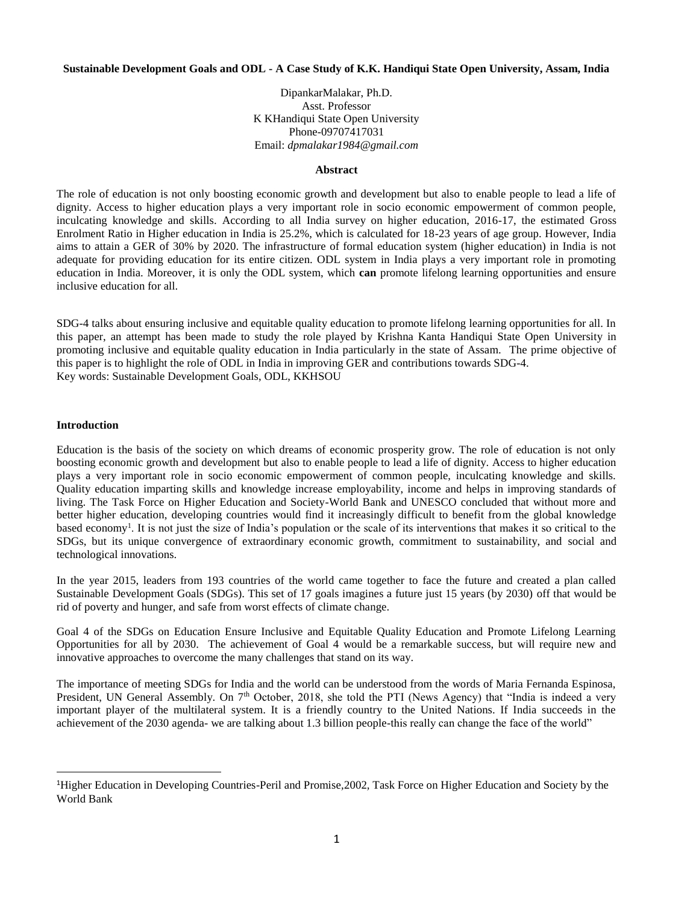## **Sustainable Development Goals and ODL - A Case Study of K.K. Handiqui State Open University, Assam, India**

DipankarMalakar, Ph.D. Asst. Professor K KHandiqui State Open University Phone-09707417031 Email: *dpmalakar1984@gmail.com*

## **Abstract**

The role of education is not only boosting economic growth and development but also to enable people to lead a life of dignity. Access to higher education plays a very important role in socio economic empowerment of common people, inculcating knowledge and skills. According to all India survey on higher education, 2016-17, the estimated Gross Enrolment Ratio in Higher education in India is 25.2%, which is calculated for 18-23 years of age group. However, India aims to attain a GER of 30% by 2020. The infrastructure of formal education system (higher education) in India is not adequate for providing education for its entire citizen. ODL system in India plays a very important role in promoting education in India. Moreover, it is only the ODL system, which **can** promote lifelong learning opportunities and ensure inclusive education for all.

SDG-4 talks about ensuring inclusive and equitable quality education to promote lifelong learning opportunities for all. In this paper, an attempt has been made to study the role played by Krishna Kanta Handiqui State Open University in promoting inclusive and equitable quality education in India particularly in the state of Assam. The prime objective of this paper is to highlight the role of ODL in India in improving GER and contributions towards SDG-4. Key words: Sustainable Development Goals, ODL, KKHSOU

### **Introduction**

 $\overline{\phantom{a}}$ 

Education is the basis of the society on which dreams of economic prosperity grow. The role of education is not only boosting economic growth and development but also to enable people to lead a life of dignity. Access to higher education plays a very important role in socio economic empowerment of common people, inculcating knowledge and skills. Quality education imparting skills and knowledge increase employability, income and helps in improving standards of living. The Task Force on Higher Education and Society-World Bank and UNESCO concluded that without more and better higher education, developing countries would find it increasingly difficult to benefit from the global knowledge based economy<sup>1</sup>. It is not just the size of India's population or the scale of its interventions that makes it so critical to the SDGs, but its unique convergence of extraordinary economic growth, commitment to sustainability, and social and technological innovations.

In the year 2015, leaders from 193 countries of the world came together to face the future and created a plan called Sustainable Development Goals (SDGs). This set of 17 goals imagines a future just 15 years (by 2030) off that would be rid of poverty and hunger, and safe from worst effects of climate change.

Goal 4 of the SDGs on Education Ensure Inclusive and Equitable Quality Education and Promote Lifelong Learning Opportunities for all by 2030. The achievement of Goal 4 would be a remarkable success, but will require new and innovative approaches to overcome the many challenges that stand on its way.

The importance of meeting SDGs for India and the world can be understood from the words of Maria Fernanda Espinosa, President, UN General Assembly. On  $7<sup>th</sup>$  October, 2018, she told the PTI (News Agency) that "India is indeed a very important player of the multilateral system. It is a friendly country to the United Nations. If India succeeds in the achievement of the 2030 agenda- we are talking about 1.3 billion people-this really can change the face of the world"

<sup>1</sup>Higher Education in Developing Countries-Peril and Promise*,*2002*,* Task Force on Higher Education and Society by the World Bank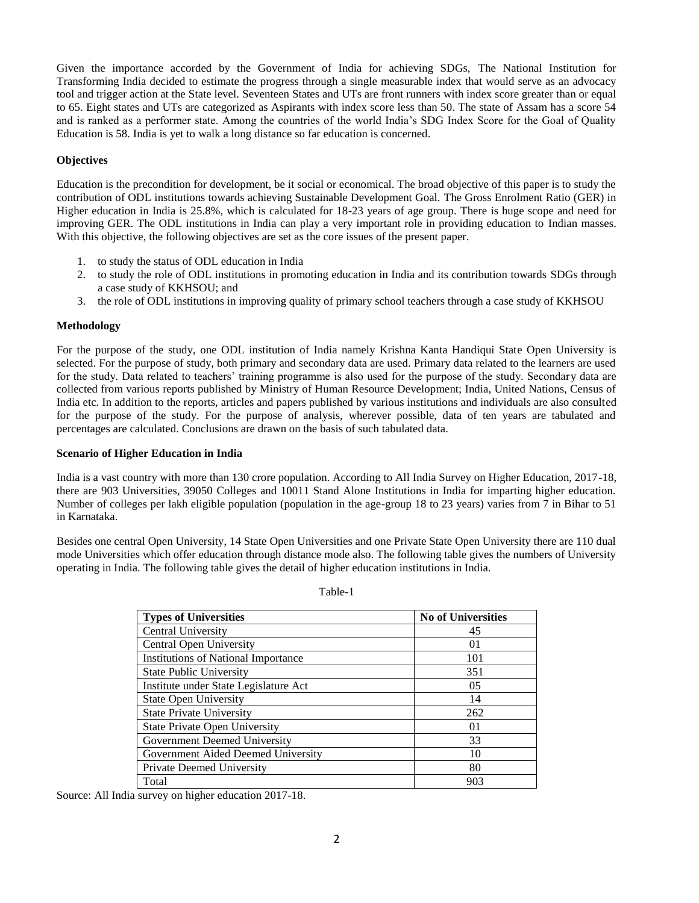Given the importance accorded by the Government of India for achieving SDGs, The National Institution for Transforming India decided to estimate the progress through a single measurable index that would serve as an advocacy tool and trigger action at the State level. Seventeen States and UTs are front runners with index score greater than or equal to 65. Eight states and UTs are categorized as Aspirants with index score less than 50. The state of Assam has a score 54 and is ranked as a performer state. Among the countries of the world India's SDG Index Score for the Goal of Quality Education is 58. India is yet to walk a long distance so far education is concerned.

# **Objectives**

Education is the precondition for development, be it social or economical. The broad objective of this paper is to study the contribution of ODL institutions towards achieving Sustainable Development Goal. The Gross Enrolment Ratio (GER) in Higher education in India is 25.8%, which is calculated for 18-23 years of age group. There is huge scope and need for improving GER. The ODL institutions in India can play a very important role in providing education to Indian masses. With this objective, the following objectives are set as the core issues of the present paper.

- 1. to study the status of ODL education in India
- 2. to study the role of ODL institutions in promoting education in India and its contribution towards SDGs through a case study of KKHSOU; and
- 3. the role of ODL institutions in improving quality of primary school teachers through a case study of KKHSOU

# **Methodology**

For the purpose of the study, one ODL institution of India namely Krishna Kanta Handiqui State Open University is selected. For the purpose of study, both primary and secondary data are used. Primary data related to the learners are used for the study. Data related to teachers' training programme is also used for the purpose of the study. Secondary data are collected from various reports published by Ministry of Human Resource Development; India, United Nations, Census of India etc. In addition to the reports, articles and papers published by various institutions and individuals are also consulted for the purpose of the study. For the purpose of analysis, wherever possible, data of ten years are tabulated and percentages are calculated. Conclusions are drawn on the basis of such tabulated data.

## **Scenario of Higher Education in India**

India is a vast country with more than 130 crore population. According to All India Survey on Higher Education, 2017-18, there are 903 Universities, 39050 Colleges and 10011 Stand Alone Institutions in India for imparting higher education. Number of colleges per lakh eligible population (population in the age-group 18 to 23 years) varies from 7 in Bihar to 51 in Karnataka.

Besides one central Open University, 14 State Open Universities and one Private State Open University there are 110 dual mode Universities which offer education through distance mode also. The following table gives the numbers of University operating in India. The following table gives the detail of higher education institutions in India.

Table-1

| <b>Types of Universities</b>               | <b>No of Universities</b> |
|--------------------------------------------|---------------------------|
| Central University                         | 45                        |
| Central Open University                    | $\Omega$                  |
| <b>Institutions of National Importance</b> | 101                       |
| <b>State Public University</b>             | 351                       |
| Institute under State Legislature Act      | 0 <sub>5</sub>            |
| <b>State Open University</b>               | 14                        |
| <b>State Private University</b>            | 262                       |
| <b>State Private Open University</b>       | $\Omega$                  |
| Government Deemed University               | 33                        |
| Government Aided Deemed University         | 10                        |
| Private Deemed University                  | 80                        |
| Total                                      | 903                       |

Source: All India survey on higher education 2017-18.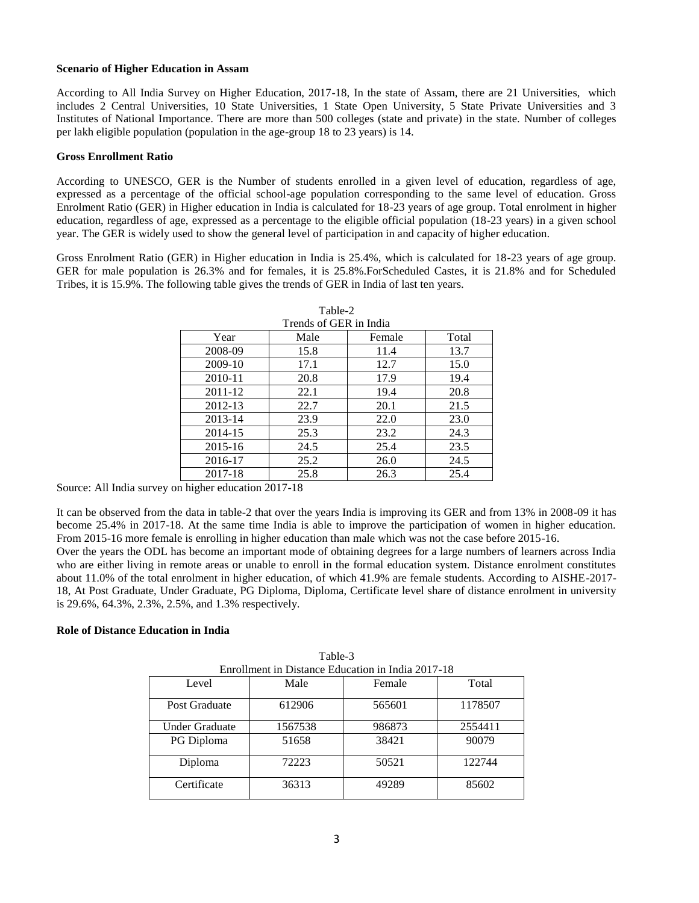## **Scenario of Higher Education in Assam**

According to All India Survey on Higher Education, 2017-18, In the state of Assam, there are 21 Universities, which includes 2 Central Universities, 10 State Universities, 1 State Open University, 5 State Private Universities and 3 Institutes of National Importance. There are more than 500 colleges (state and private) in the state. Number of colleges per lakh eligible population (population in the age-group 18 to 23 years) is 14.

## **Gross Enrollment Ratio**

According to UNESCO, GER is the Number of students enrolled in a given level of education, regardless of age, expressed as a percentage of the official school-age population corresponding to the same level of education. Gross Enrolment Ratio (GER) in Higher education in India is calculated for 18-23 years of age group. Total enrolment in higher education, regardless of age, expressed as a percentage to the eligible official population (18-23 years) in a given school year. The GER is widely used to show the general level of participation in and capacity of higher education.

Gross Enrolment Ratio (GER) in Higher education in India is 25.4%, which is calculated for 18-23 years of age group. GER for male population is 26.3% and for females, it is 25.8%.ForScheduled Castes, it is 21.8% and for Scheduled Tribes, it is 15.9%. The following table gives the trends of GER in India of last ten years.

| Trends of GER in India |      |        |       |  |  |  |  |  |  |  |
|------------------------|------|--------|-------|--|--|--|--|--|--|--|
| Year                   | Male | Female | Total |  |  |  |  |  |  |  |
| 2008-09                | 15.8 | 11.4   | 13.7  |  |  |  |  |  |  |  |
| 2009-10                | 17.1 | 12.7   | 15.0  |  |  |  |  |  |  |  |
| 2010-11                | 20.8 | 17.9   | 19.4  |  |  |  |  |  |  |  |
| 2011-12                | 22.1 | 19.4   | 20.8  |  |  |  |  |  |  |  |
| 2012-13                | 22.7 | 20.1   | 21.5  |  |  |  |  |  |  |  |
| 2013-14                | 23.9 | 22.0   | 23.0  |  |  |  |  |  |  |  |
| 2014-15                | 25.3 | 23.2   | 24.3  |  |  |  |  |  |  |  |
| 2015-16                | 24.5 | 25.4   | 23.5  |  |  |  |  |  |  |  |
| 2016-17                | 25.2 | 26.0   | 24.5  |  |  |  |  |  |  |  |
| 2017-18                | 25.8 | 26.3   | 25.4  |  |  |  |  |  |  |  |

Table-2

Source: All India survey on higher education 2017-18

It can be observed from the data in table-2 that over the years India is improving its GER and from 13% in 2008-09 it has become 25.4% in 2017-18. At the same time India is able to improve the participation of women in higher education. From 2015-16 more female is enrolling in higher education than male which was not the case before 2015-16.

Over the years the ODL has become an important mode of obtaining degrees for a large numbers of learners across India who are either living in remote areas or unable to enroll in the formal education system. Distance enrolment constitutes about 11.0% of the total enrolment in higher education, of which 41.9% are female students. According to AISHE-2017- 18, At Post Graduate, Under Graduate, PG Diploma, Diploma, Certificate level share of distance enrolment in university is 29.6%, 64.3%, 2.3%, 2.5%, and 1.3% respectively.

# **Role of Distance Education in India**

| Enrollment in Distance Education in India 2017-18 |         |        |         |  |  |  |  |  |  |  |
|---------------------------------------------------|---------|--------|---------|--|--|--|--|--|--|--|
| Level                                             | Male    | Female | Total   |  |  |  |  |  |  |  |
| Post Graduate                                     | 612906  | 565601 | 1178507 |  |  |  |  |  |  |  |
| Under Graduate                                    | 1567538 | 986873 | 2554411 |  |  |  |  |  |  |  |
| PG Diploma                                        | 51658   | 38421  | 90079   |  |  |  |  |  |  |  |
| Diploma                                           | 72223   | 50521  | 122744  |  |  |  |  |  |  |  |
| Certificate                                       | 36313   | 49289  | 85602   |  |  |  |  |  |  |  |

Table-3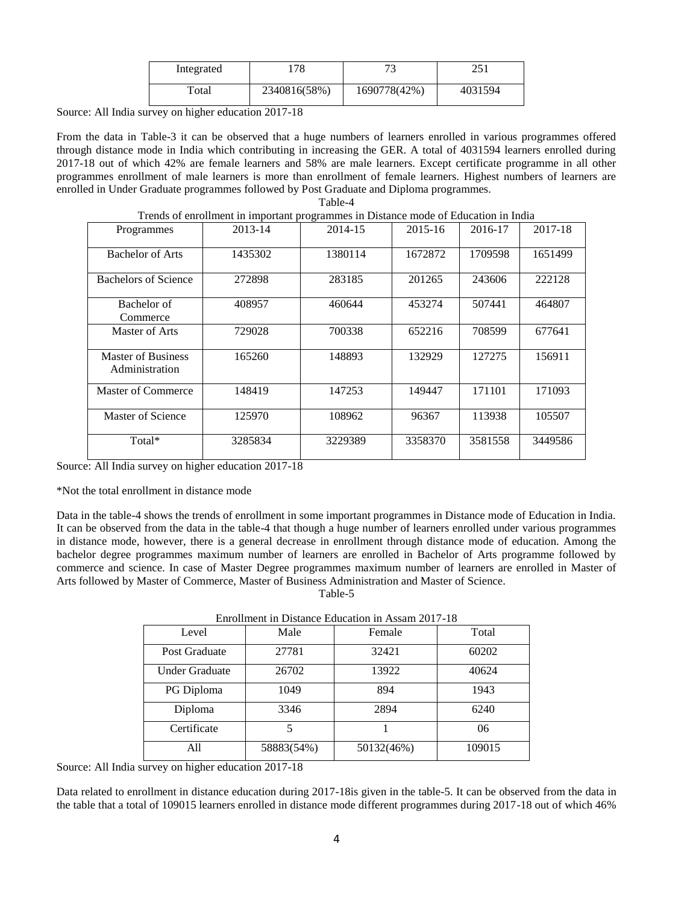| Integrated | 78           | ∼ר           | つぐ1<br>⊥ل⊿ |
|------------|--------------|--------------|------------|
| Total      | 2340816(58%) | 1690778(42%) | 4031594    |

Source: All India survey on higher education 2017-18

From the data in Table-3 it can be observed that a huge numbers of learners enrolled in various programmes offered through distance mode in India which contributing in increasing the GER. A total of 4031594 learners enrolled during 2017-18 out of which 42% are female learners and 58% are male learners. Except certificate programme in all other programmes enrollment of male learners is more than enrollment of female learners. Highest numbers of learners are enrolled in Under Graduate programmes followed by Post Graduate and Diploma programmes. Table-4

|                                      | Trends of emonifient in important programmes in Distance mode of Education in India |         |         |         |         |
|--------------------------------------|-------------------------------------------------------------------------------------|---------|---------|---------|---------|
| Programmes                           | 2013-14                                                                             | 2014-15 | 2015-16 | 2016-17 | 2017-18 |
| <b>Bachelor of Arts</b>              | 1435302                                                                             | 1380114 | 1672872 | 1709598 | 1651499 |
| Bachelors of Science                 | 272898                                                                              | 283185  | 201265  | 243606  | 222128  |
| Bachelor of<br>Commerce              | 408957                                                                              | 460644  | 453274  | 507441  | 464807  |
| Master of Arts                       | 729028                                                                              | 700338  | 652216  | 708599  | 677641  |
| Master of Business<br>Administration | 165260                                                                              | 148893  | 132929  | 127275  | 156911  |
| Master of Commerce                   | 148419                                                                              | 147253  | 149447  | 171101  | 171093  |
| <b>Master of Science</b>             | 125970                                                                              | 108962  | 96367   | 113938  | 105507  |
| Total*                               | 3285834                                                                             | 3229389 | 3358370 | 3581558 | 3449586 |

node of Education in India

Source: All India survey on higher education 2017-18

## \*Not the total enrollment in distance mode

Data in the table-4 shows the trends of enrollment in some important programmes in Distance mode of Education in India. It can be observed from the data in the table-4 that though a huge number of learners enrolled under various programmes in distance mode, however, there is a general decrease in enrollment through distance mode of education. Among the bachelor degree programmes maximum number of learners are enrolled in Bachelor of Arts programme followed by commerce and science. In case of Master Degree programmes maximum number of learners are enrolled in Master of Arts followed by Master of Commerce, Master of Business Administration and Master of Science.

Table-5

| Level                 | Male       | Female     | Total  |
|-----------------------|------------|------------|--------|
| Post Graduate         | 27781      | 32421      | 60202  |
| <b>Under Graduate</b> | 26702      | 13922      | 40624  |
| PG Diploma            | 1049       | 894        | 1943   |
| Diploma               | 3346       | 2894       | 6240   |
| Certificate           |            |            | 06     |
| All                   | 58883(54%) | 50132(46%) | 109015 |

Enrollment in Distance Education in Assam 2017-18

Source: All India survey on higher education 2017-18

Data related to enrollment in distance education during 2017-18is given in the table-5. It can be observed from the data in the table that a total of 109015 learners enrolled in distance mode different programmes during 2017-18 out of which 46%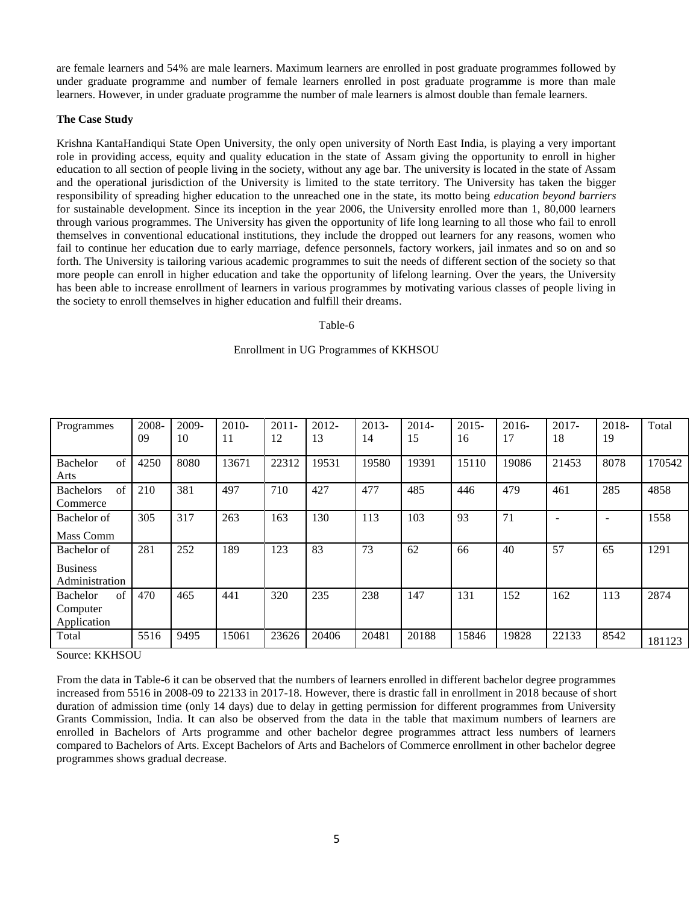are female learners and 54% are male learners. Maximum learners are enrolled in post graduate programmes followed by under graduate programme and number of female learners enrolled in post graduate programme is more than male learners. However, in under graduate programme the number of male learners is almost double than female learners.

## **The Case Study**

Krishna KantaHandiqui State Open University, the only open university of North East India, is playing a very important role in providing access, equity and quality education in the state of Assam giving the opportunity to enroll in higher education to all section of people living in the society, without any age bar. The university is located in the state of Assam and the operational jurisdiction of the University is limited to the state territory. The University has taken the bigger responsibility of spreading higher education to the unreached one in the state, its motto being *education beyond barriers*  for sustainable development. Since its inception in the year 2006, the University enrolled more than 1, 80,000 learners through various programmes. The University has given the opportunity of life long learning to all those who fail to enroll themselves in conventional educational institutions, they include the dropped out learners for any reasons, women who fail to continue her education due to early marriage, defence personnels, factory workers, jail inmates and so on and so forth. The University is tailoring various academic programmes to suit the needs of different section of the society so that more people can enroll in higher education and take the opportunity of lifelong learning. Over the years, the University has been able to increase enrollment of learners in various programmes by motivating various classes of people living in the society to enroll themselves in higher education and fulfill their dreams.

### Table-6

## Enrollment in UG Programmes of KKHSOU

| Programmes                                        | 2008-<br>09 | 2009-<br>10 | 2010-<br>11 | $2011 -$<br>12 | $2012 -$<br>13 | $2013-$<br>14 | $2014-$<br>15 | $2015 -$<br>16 | $2016 -$<br>17 | $2017 -$<br>18 | 2018-<br>19 | Total  |
|---------------------------------------------------|-------------|-------------|-------------|----------------|----------------|---------------|---------------|----------------|----------------|----------------|-------------|--------|
| $\sigma$ f<br>Bachelor<br>Arts                    | 4250        | 8080        | 13671       | 22312          | 19531          | 19580         | 19391         | 15110          | 19086          | 21453          | 8078        | 170542 |
| $\sigma$ f<br><b>Bachelors</b><br>Commerce        | 210         | 381         | 497         | 710            | 427            | 477           | 485           | 446            | 479            | 461            | 285         | 4858   |
| Bachelor of<br>Mass Comm                          | 305         | 317         | 263         | 163            | 130            | 113           | 103           | 93             | 71             |                |             | 1558   |
| Bachelor of<br><b>Business</b><br>Administration  | 281         | 252         | 189         | 123            | 83             | 73            | 62            | 66             | 40             | 57             | 65          | 1291   |
| $\sigma$ f<br>Bachelor<br>Computer<br>Application | 470         | 465         | 441         | 320            | 235            | 238           | 147           | 131            | 152            | 162            | 113         | 2874   |
| Total                                             | 5516        | 9495        | 15061       | 23626          | 20406          | 20481         | 20188         | 15846          | 19828          | 22133          | 8542        | 181123 |

Source: KKHSOU

From the data in Table-6 it can be observed that the numbers of learners enrolled in different bachelor degree programmes increased from 5516 in 2008-09 to 22133 in 2017-18. However, there is drastic fall in enrollment in 2018 because of short duration of admission time (only 14 days) due to delay in getting permission for different programmes from University Grants Commission, India. It can also be observed from the data in the table that maximum numbers of learners are enrolled in Bachelors of Arts programme and other bachelor degree programmes attract less numbers of learners compared to Bachelors of Arts. Except Bachelors of Arts and Bachelors of Commerce enrollment in other bachelor degree programmes shows gradual decrease.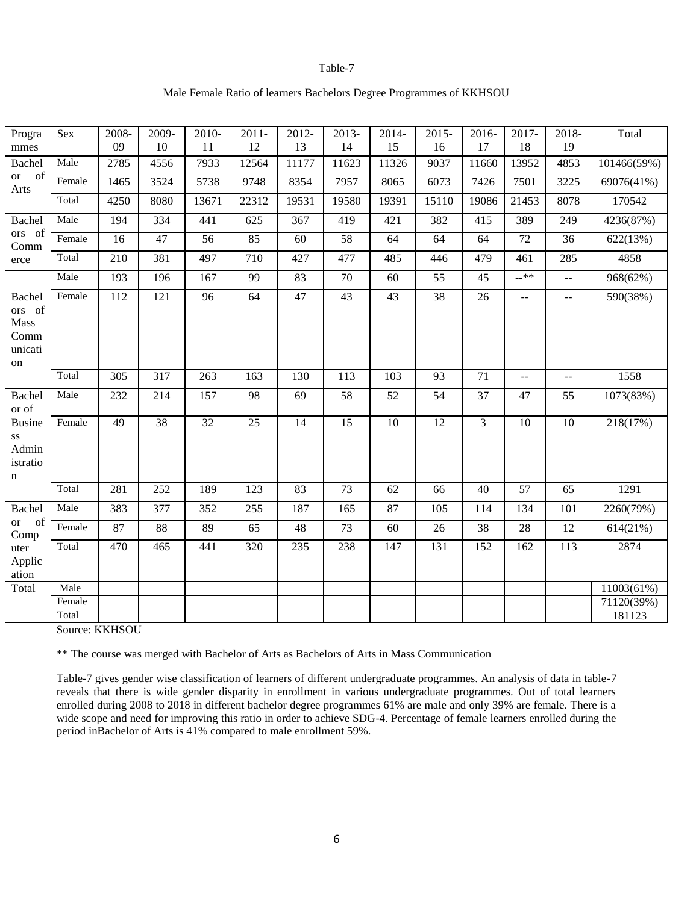### Table-7

## Male Female Ratio of learners Bachelors Degree Programmes of KKHSOU

| Progra<br>mmes                                    | Sex             | 2008-<br>09 | 2009-<br>10     | 2010-<br>11     | $2011 -$<br>12 | 2012-<br>13 | $2013-$<br>14 | 2014-<br>15 | $2015 -$<br>16  | 2016-<br>17     | 2017-<br>18                                   | 2018-<br>19    | Total       |
|---------------------------------------------------|-----------------|-------------|-----------------|-----------------|----------------|-------------|---------------|-------------|-----------------|-----------------|-----------------------------------------------|----------------|-------------|
| Bachel                                            | Male            | 2785        | 4556            | 7933            | 12564          | 11177       | 11623         | 11326       | 9037            | 11660           | 13952                                         | 4853           | 101466(59%) |
| of<br><b>or</b><br>Arts                           | Female          | 1465        | 3524            | 5738            | 9748           | 8354        | 7957          | 8065        | 6073            | 7426            | 7501                                          | 3225           | 69076(41%)  |
|                                                   | Total           | 4250        | 8080            | 13671           | 22312          | 19531       | 19580         | 19391       | 15110           | 19086           | 21453                                         | 8078           | 170542      |
| Bachel                                            | Male            | 194         | 334             | 441             | 625            | 367         | 419           | 421         | 382             | 415             | 389                                           | 249            | 4236(87%)   |
| ors of<br>Comm                                    | Female          | 16          | 47              | 56              | 85             | 60          | 58            | 64          | 64              | 64              | 72                                            | 36             | 622(13%)    |
| erce                                              | Total           | 210         | 381             | 497             | 710            | 427         | 477           | 485         | 446             | 479             | 461                                           | 285            | 4858        |
|                                                   | Male            | 193         | 196             | 167             | 99             | 83          | $70\,$        | 60          | 55              | 45              | $-***$                                        | $\bar{\omega}$ | 968(62%)    |
| Bachel<br>ors of<br>Mass<br>Comm<br>unicati<br>on | Female          | 112         | 121             | 96              | 64             | 47          | 43            | 43          | 38              | 26              | $\overline{a}$                                | --             | 590(38%)    |
|                                                   | Total           | 305         | 317             | 263             | 163            | 130         | 113           | 103         | 93              | $\overline{71}$ | $\mathord{\hspace{1pt}\text{--}\hspace{1pt}}$ | --             | 1558        |
| Bachel<br>or of                                   | Male            | 232         | 214             | 157             | 98             | 69          | 58            | 52          | 54              | 37              | 47                                            | 55             | 1073(83%)   |
| <b>Busine</b><br>SS<br>Admin<br>istratio<br>n     | Female          | 49          | $\overline{38}$ | $\overline{32}$ | 25             | 14          | 15            | 10          | $\overline{12}$ | 3               | 10                                            | 10             | 218(17%)    |
|                                                   | Total           | 281         | 252             | 189             | 123            | 83          | 73            | 62          | 66              | 40              | $\overline{57}$                               | 65             | 1291        |
| Bachel                                            | Male            | 383         | 377             | 352             | 255            | 187         | 165           | 87          | 105             | 114             | 134                                           | 101            | 2260(79%)   |
| of<br><b>or</b><br>Comp                           | Female          | 87          | 88              | 89              | 65             | 48          | 73            | 60          | 26              | 38              | 28                                            | 12             | 614(21%)    |
| uter<br>Applic<br>ation                           | Total           | 470         | 465             | 441             | 320            | 235         | 238           | 147         | 131             | 152             | 162                                           | 113            | 2874        |
| Total                                             | Male            |             |                 |                 |                |             |               |             |                 |                 |                                               |                | 11003(61%)  |
|                                                   | Female<br>Total |             |                 |                 |                |             |               |             |                 |                 |                                               |                | 71120(39%)  |
|                                                   |                 |             |                 |                 |                |             |               |             |                 |                 |                                               |                | 181123      |

Source: KKHSOU

\*\* The course was merged with Bachelor of Arts as Bachelors of Arts in Mass Communication

Table-7 gives gender wise classification of learners of different undergraduate programmes. An analysis of data in table-7 reveals that there is wide gender disparity in enrollment in various undergraduate programmes. Out of total learners enrolled during 2008 to 2018 in different bachelor degree programmes 61% are male and only 39% are female. There is a wide scope and need for improving this ratio in order to achieve SDG-4. Percentage of female learners enrolled during the period inBachelor of Arts is 41% compared to male enrollment 59%.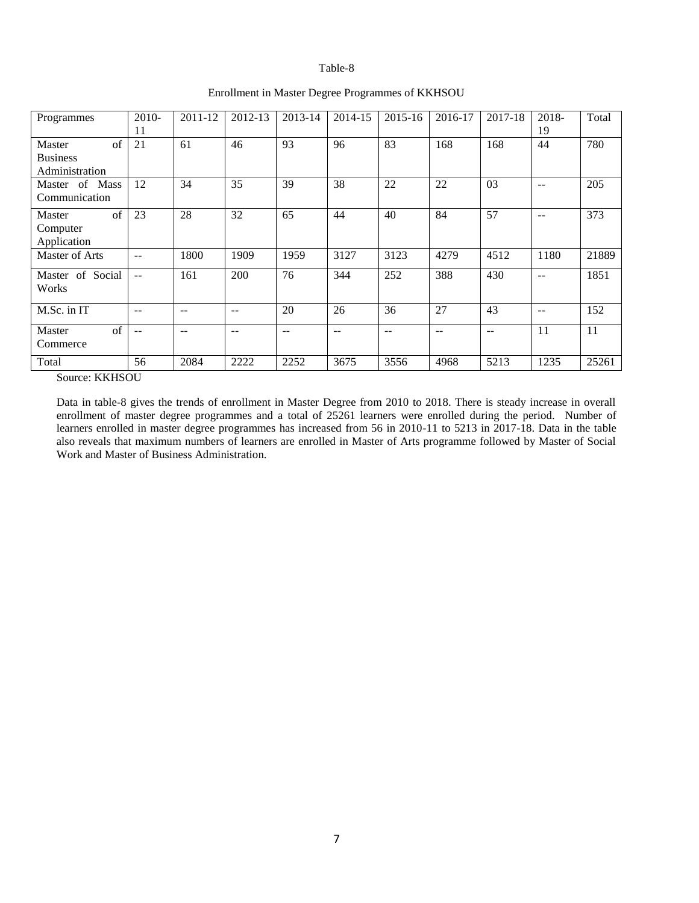### Table-8

| Programmes                              | 2010-         | 2011-12 | 2012-13 | 2013-14 | 2014-15 | $2015 - 16$ | 2016-17 | 2017-18 | 2018-         | Total |
|-----------------------------------------|---------------|---------|---------|---------|---------|-------------|---------|---------|---------------|-------|
|                                         | 11            |         |         |         |         |             |         |         | 19            |       |
| of<br>Master<br><b>Business</b>         | 21            | 61      | 46      | 93      | 96      | 83          | 168     | 168     | 44            | 780   |
| Administration                          |               |         |         |         |         |             |         |         |               |       |
| Master of Mass<br>Communication         | 12            | 34      | 35      | 39      | 38      | 22          | 22      | 03      | $\sim$ $\sim$ | 205   |
| of<br>Master<br>Computer<br>Application | 23            | 28      | 32      | 65      | 44      | 40          | 84      | 57      | $\sim$ $\sim$ | 373   |
| Master of Arts                          | --            | 1800    | 1909    | 1959    | 3127    | 3123        | 4279    | 4512    | 1180          | 21889 |
| Master of Social<br>Works               | $\sim$ $\sim$ | 161     | 200     | 76      | 344     | 252         | 388     | 430     | $-$           | 1851  |
| M.Sc. in IT                             | --            | --      | --      | 20      | 26      | 36          | 27      | 43      | $-$           | 152   |
| $\sigma$ f<br>Master<br>Commerce        | --            | --      | $-$     | $-$     | $-$     | --          | --      | $- -$   | 11            | 11    |
| Total                                   | 56            | 2084    | 2222    | 2252    | 3675    | 3556        | 4968    | 5213    | 1235          | 25261 |

## Enrollment in Master Degree Programmes of KKHSOU

Source: KKHSOU

Data in table-8 gives the trends of enrollment in Master Degree from 2010 to 2018. There is steady increase in overall enrollment of master degree programmes and a total of 25261 learners were enrolled during the period. Number of learners enrolled in master degree programmes has increased from 56 in 2010-11 to 5213 in 2017-18. Data in the table also reveals that maximum numbers of learners are enrolled in Master of Arts programme followed by Master of Social Work and Master of Business Administration.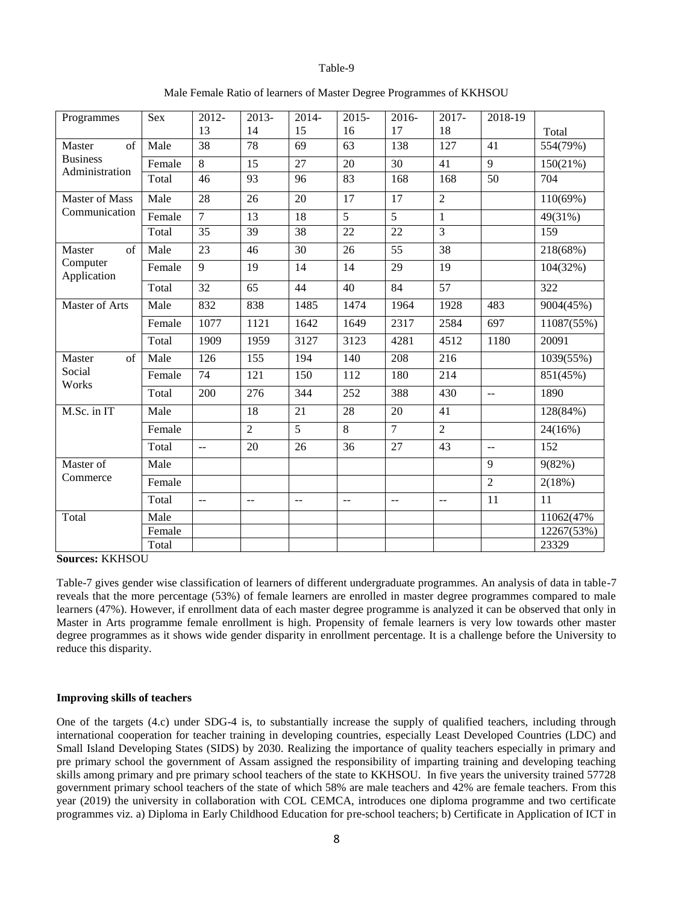#### Table-9

| Programmes                        | Sex    | 2012-          | $2013-$        | 2014-          | $2015 -$ | 2016-          | 2017-                   | 2018-19                 |             |
|-----------------------------------|--------|----------------|----------------|----------------|----------|----------------|-------------------------|-------------------------|-------------|
|                                   |        | 13             | 14             | 15             | 16       | 17             | 18                      |                         | Total       |
| of<br>Master                      | Male   | 38             | 78             | 69             | 63       | 138            | 127                     | 41                      | 554(79%)    |
| <b>Business</b><br>Administration | Female | 8              | 15             | 27             | 20       | 30             | 41                      | 9                       | 150(21%)    |
|                                   | Total  | 46             | 93             | 96             | 83       | 168            | 168                     | 50                      | 704         |
| <b>Master of Mass</b>             | Male   | 28             | 26             | 20             | 17       | 17             | $\overline{2}$          |                         | $110(69\%)$ |
| Communication                     | Female | $\overline{7}$ | 13             | 18             | 5        | 5              | $\mathbf{1}$            |                         | 49(31%)     |
|                                   | Total  | 35             | 39             | 38             | 22       | 22             | $\overline{3}$          |                         | 159         |
| of<br>Master                      | Male   | 23             | 46             | 30             | 26       | 55             | 38                      |                         | 218(68%)    |
| Computer<br>Application           | Female | 9              | 19             | 14             | 14       | 29             | 19                      |                         | 104(32%)    |
|                                   | Total  | 32             | 65             | 44             | 40       | 84             | 57                      |                         | 322         |
| Master of Arts                    | Male   | 832            | 838            | 1485           | 1474     | 1964           | 1928                    | 483                     | 9004(45%)   |
|                                   | Female | 1077           | 1121           | 1642           | 1649     | 2317           | 2584                    | 697                     | 11087(55%)  |
|                                   | Total  | 1909           | 1959           | 3127           | 3123     | 4281           | 4512                    | 1180                    | 20091       |
| Master<br>of                      | Male   | 126            | 155            | 194            | 140      | 208            | 216                     |                         | 1039(55%)   |
| Social<br>Works                   | Female | 74             | 121            | 150            | 112      | 180            | 214                     |                         | 851(45%)    |
|                                   | Total  | 200            | 276            | 344            | 252      | 388            | 430                     | $\mathbb{L} \mathbb{L}$ | 1890        |
| M.Sc. in IT                       | Male   |                | 18             | 21             | 28       | 20             | 41                      |                         | 128(84%)    |
|                                   | Female |                | $\overline{2}$ | $\overline{5}$ | 8        | $\overline{7}$ | $\overline{2}$          |                         | 24(16%)     |
|                                   | Total  | $\overline{a}$ | 20             | 26             | 36       | 27             | 43                      | $\mathbb{L} \mathbb{L}$ | 152         |
| Master of                         | Male   |                |                |                |          |                |                         | 9                       | 9(82%)      |
| Commerce                          | Female |                |                |                |          |                |                         | $\overline{2}$          | 2(18%)      |
|                                   | Total  | $\overline{a}$ | $-$            | $\overline{a}$ | $- -$    | $\sim$ $\sim$  | $\mathbb{L} \mathbb{L}$ | 11                      | 11          |
| Total                             | Male   |                |                |                |          |                |                         |                         | 11062(47%   |
|                                   | Female |                |                |                |          |                |                         |                         | 12267(53%)  |
|                                   | Total  |                |                |                |          |                |                         |                         | 23329       |

Male Female Ratio of learners of Master Degree Programmes of KKHSOU

**Sources:** KKHSOU

Table-7 gives gender wise classification of learners of different undergraduate programmes. An analysis of data in table-7 reveals that the more percentage (53%) of female learners are enrolled in master degree programmes compared to male learners (47%). However, if enrollment data of each master degree programme is analyzed it can be observed that only in Master in Arts programme female enrollment is high. Propensity of female learners is very low towards other master degree programmes as it shows wide gender disparity in enrollment percentage. It is a challenge before the University to reduce this disparity.

# **Improving skills of teachers**

One of the targets (4.c) under SDG-4 is, to substantially increase the supply of qualified teachers, including through international cooperation for teacher training in developing countries, especially Least Developed Countries (LDC) and Small Island Developing States (SIDS) by 2030. Realizing the importance of quality teachers especially in primary and pre primary school the government of Assam assigned the responsibility of imparting training and developing teaching skills among primary and pre primary school teachers of the state to KKHSOU. In five years the university trained 57728 government primary school teachers of the state of which 58% are male teachers and 42% are female teachers. From this year (2019) the university in collaboration with COL CEMCA, introduces one diploma programme and two certificate programmes viz. a) Diploma in Early Childhood Education for pre-school teachers; b) Certificate in Application of ICT in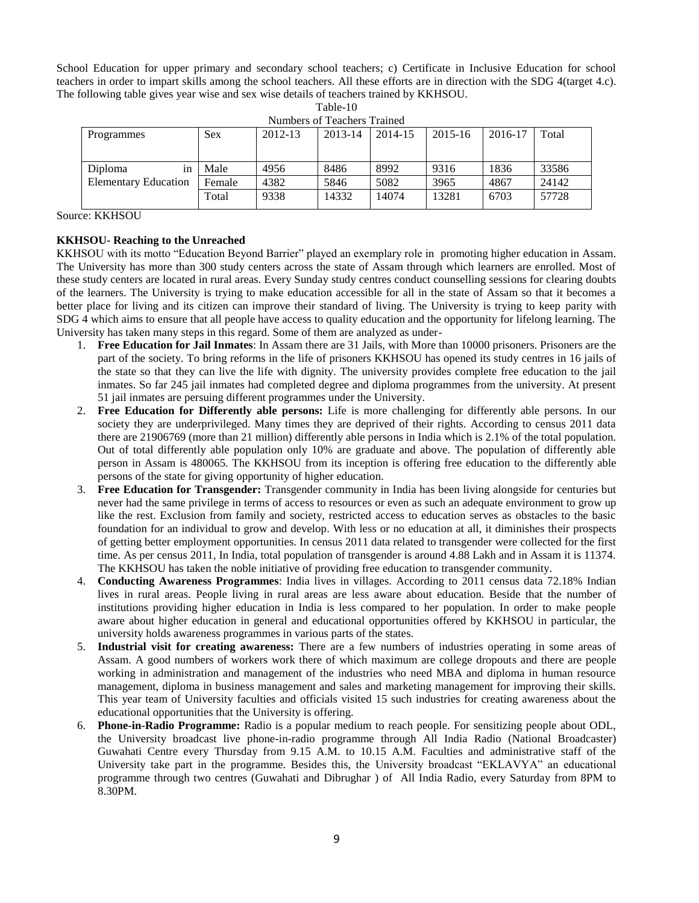School Education for upper primary and secondary school teachers; c) Certificate in Inclusive Education for school teachers in order to impart skills among the school teachers. All these efforts are in direction with the SDG 4(target 4.c). The following table gives year wise and sex wise details of teachers trained by KKHSOU.

| Numbers of Teachers Trained |            |         |         |         |         |         |       |  |  |  |  |
|-----------------------------|------------|---------|---------|---------|---------|---------|-------|--|--|--|--|
| Programmes                  | <b>Sex</b> | 2012-13 | 2013-14 | 2014-15 | 2015-16 | 2016-17 | Total |  |  |  |  |
|                             |            |         |         |         |         |         |       |  |  |  |  |
|                             |            |         |         |         |         |         |       |  |  |  |  |
| Diploma<br>1n               | Male       | 4956    | 8486    | 8992    | 9316    | 1836    | 33586 |  |  |  |  |
| <b>Elementary Education</b> | Female     | 4382    | 5846    | 5082    | 3965    | 4867    | 24142 |  |  |  |  |
|                             | Total      | 9338    | 14332   | 14074   | 13281   | 6703    | 57728 |  |  |  |  |

Table-10 Numbers of Teachers Trained

Source: KKHSOU

## **KKHSOU- Reaching to the Unreached**

KKHSOU with its motto "Education Beyond Barrier" played an exemplary role in promoting higher education in Assam. The University has more than 300 study centers across the state of Assam through which learners are enrolled. Most of these study centers are located in rural areas. Every Sunday study centres conduct counselling sessions for clearing doubts of the learners. The University is trying to make education accessible for all in the state of Assam so that it becomes a better place for living and its citizen can improve their standard of living. The University is trying to keep parity with SDG 4 which aims to ensure that all people have access to quality education and the opportunity for lifelong learning. The University has taken many steps in this regard. Some of them are analyzed as under-

- 1. **Free Education for Jail Inmates**: In Assam there are 31 Jails, with More than 10000 prisoners. Prisoners are the part of the society. To bring reforms in the life of prisoners KKHSOU has opened its study centres in 16 jails of the state so that they can live the life with dignity. The university provides complete free education to the jail inmates. So far 245 jail inmates had completed degree and diploma programmes from the university. At present 51 jail inmates are persuing different programmes under the University.
- 2. **Free Education for Differently able persons:** Life is more challenging for differently able persons. In our society they are underprivileged. Many times they are deprived of their rights. According to census 2011 data there are 21906769 (more than 21 million) differently able persons in India which is 2.1% of the total population. Out of total differently able population only 10% are graduate and above. The population of differently able person in Assam is 480065. The KKHSOU from its inception is offering free education to the differently able persons of the state for giving opportunity of higher education.
- 3. **Free Education for Transgender:** Transgender community in India has been living alongside for centuries but never had the same privilege in terms of access to resources or even as such an adequate environment to grow up like the rest. Exclusion from family and society, restricted access to education serves as obstacles to the basic foundation for an individual to grow and develop. With less or no education at all, it diminishes their prospects of getting better employment opportunities. In census 2011 data related to transgender were collected for the first time. As per census 2011, In India, total population of transgender is around 4.88 Lakh and in Assam it is 11374. The KKHSOU has taken the noble initiative of providing free education to transgender community.
- 4. **Conducting Awareness Programmes**: India lives in villages. According to 2011 census data 72.18% Indian lives in rural areas. People living in rural areas are less aware about education. Beside that the number of institutions providing higher education in India is less compared to her population. In order to make people aware about higher education in general and educational opportunities offered by KKHSOU in particular, the university holds awareness programmes in various parts of the states.
- 5. **Industrial visit for creating awareness:** There are a few numbers of industries operating in some areas of Assam. A good numbers of workers work there of which maximum are college dropouts and there are people working in administration and management of the industries who need MBA and diploma in human resource management, diploma in business management and sales and marketing management for improving their skills. This year team of University faculties and officials visited 15 such industries for creating awareness about the educational opportunities that the University is offering.
- 6. **Phone-in-Radio Programme:** Radio is a popular medium to reach people. For sensitizing people about ODL, the University broadcast live phone-in-radio programme through All India Radio (National Broadcaster) Guwahati Centre every Thursday from 9.15 A.M. to 10.15 A.M. Faculties and administrative staff of the University take part in the programme. Besides this, the University broadcast "EKLAVYA" an educational programme through two centres (Guwahati and Dibrughar ) of All India Radio, every Saturday from 8PM to 8.30PM.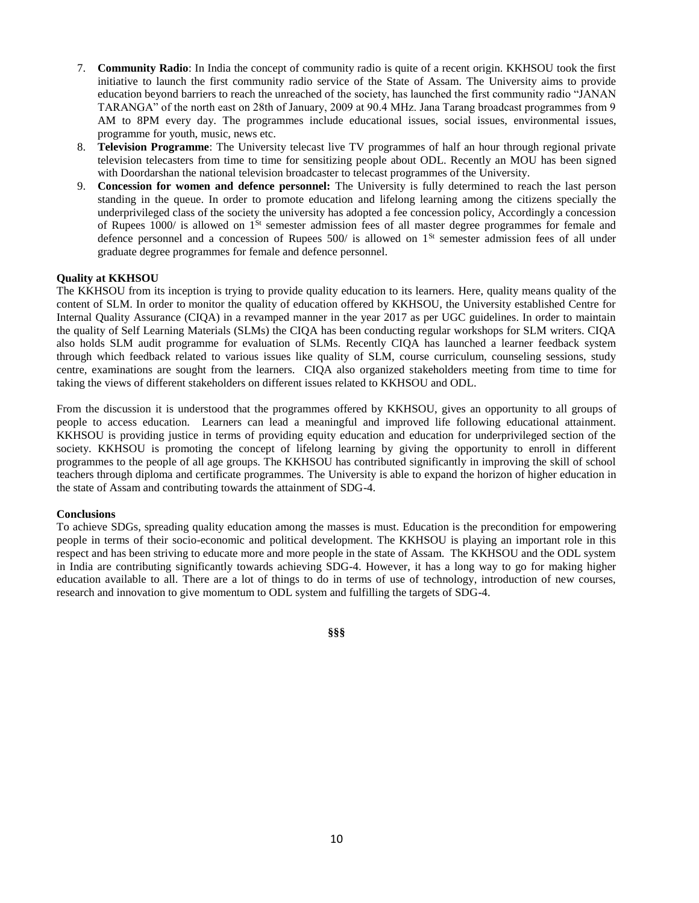- 7. **Community Radio**: In India the concept of community radio is quite of a recent origin. KKHSOU took the first initiative to launch the first community radio service of the State of Assam. The University aims to provide education beyond barriers to reach the unreached of the society, has launched the first community radio "JANAN TARANGA" of the north east on 28th of January, 2009 at 90.4 MHz. Jana Tarang broadcast programmes from 9 AM to 8PM every day. The programmes include educational issues, social issues, environmental issues, programme for youth, music, news etc.
- 8. **Television Programme**: The University telecast live TV programmes of half an hour through regional private television telecasters from time to time for sensitizing people about ODL. Recently an MOU has been signed with Doordarshan the national television broadcaster to telecast programmes of the University.
- 9. **Concession for women and defence personnel:** The University is fully determined to reach the last person standing in the queue. In order to promote education and lifelong learning among the citizens specially the underprivileged class of the society the university has adopted a fee concession policy, Accordingly a concession of Rupees 1000/ is allowed on 1St semester admission fees of all master degree programmes for female and defence personnel and a concession of Rupees  $500/$  is allowed on  $1<sup>St</sup>$  semester admission fees of all under graduate degree programmes for female and defence personnel.

# **Quality at KKHSOU**

The KKHSOU from its inception is trying to provide quality education to its learners. Here, quality means quality of the content of SLM. In order to monitor the quality of education offered by KKHSOU, the University established Centre for Internal Quality Assurance (CIQA) in a revamped manner in the year 2017 as per UGC guidelines. In order to maintain the quality of Self Learning Materials (SLMs) the CIQA has been conducting regular workshops for SLM writers. CIQA also holds SLM audit programme for evaluation of SLMs. Recently CIQA has launched a learner feedback system through which feedback related to various issues like quality of SLM, course curriculum, counseling sessions, study centre, examinations are sought from the learners. CIQA also organized stakeholders meeting from time to time for taking the views of different stakeholders on different issues related to KKHSOU and ODL.

From the discussion it is understood that the programmes offered by KKHSOU, gives an opportunity to all groups of people to access education. Learners can lead a meaningful and improved life following educational attainment. KKHSOU is providing justice in terms of providing equity education and education for underprivileged section of the society. KKHSOU is promoting the concept of lifelong learning by giving the opportunity to enroll in different programmes to the people of all age groups. The KKHSOU has contributed significantly in improving the skill of school teachers through diploma and certificate programmes. The University is able to expand the horizon of higher education in the state of Assam and contributing towards the attainment of SDG-4.

#### **Conclusions**

To achieve SDGs, spreading quality education among the masses is must. Education is the precondition for empowering people in terms of their socio-economic and political development. The KKHSOU is playing an important role in this respect and has been striving to educate more and more people in the state of Assam. The KKHSOU and the ODL system in India are contributing significantly towards achieving SDG-4. However, it has a long way to go for making higher education available to all. There are a lot of things to do in terms of use of technology, introduction of new courses, research and innovation to give momentum to ODL system and fulfilling the targets of SDG-4.

#### **§§§**